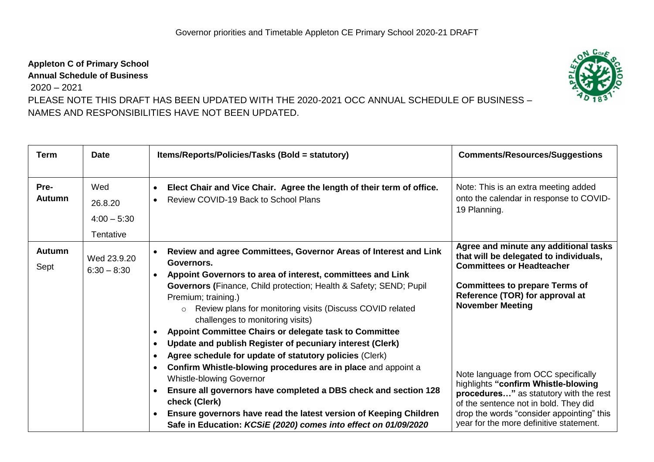## **Appleton C of Primary School**

**Annual Schedule of Business**

2020 – 2021

PLEASE NOTE THIS DRAFT HAS BEEN UPDATED WITH THE 2020-2021 OCC ANNUAL SCHEDULE OF BUSINESS – NAMES AND RESPONSIBILITIES HAVE NOT BEEN UPDATED.

| <b>Term</b>           | <b>Date</b>                                  | Items/Reports/Policies/Tasks (Bold = statutory)                                                                                                                                                                                                                                                                                                                                                                                                                                                                                                                                                                                                                                                                                                                                                                                                                                                                                        | <b>Comments/Resources/Suggestions</b>                                                                                                                                                                                                                                                                                                                                                                                                                                               |
|-----------------------|----------------------------------------------|----------------------------------------------------------------------------------------------------------------------------------------------------------------------------------------------------------------------------------------------------------------------------------------------------------------------------------------------------------------------------------------------------------------------------------------------------------------------------------------------------------------------------------------------------------------------------------------------------------------------------------------------------------------------------------------------------------------------------------------------------------------------------------------------------------------------------------------------------------------------------------------------------------------------------------------|-------------------------------------------------------------------------------------------------------------------------------------------------------------------------------------------------------------------------------------------------------------------------------------------------------------------------------------------------------------------------------------------------------------------------------------------------------------------------------------|
| Pre-<br><b>Autumn</b> | Wed<br>26.8.20<br>$4:00 - 5:30$<br>Tentative | Elect Chair and Vice Chair. Agree the length of their term of office.<br>$\bullet$<br>Review COVID-19 Back to School Plans                                                                                                                                                                                                                                                                                                                                                                                                                                                                                                                                                                                                                                                                                                                                                                                                             | Note: This is an extra meeting added<br>onto the calendar in response to COVID-<br>19 Planning.                                                                                                                                                                                                                                                                                                                                                                                     |
| <b>Autumn</b><br>Sept | Wed 23.9.20<br>$6:30 - 8:30$                 | Review and agree Committees, Governor Areas of Interest and Link<br>Governors.<br>Appoint Governors to area of interest, committees and Link<br><b>Governors (Finance, Child protection; Health &amp; Safety; SEND; Pupil</b><br>Premium; training.)<br>Review plans for monitoring visits (Discuss COVID related<br>$\circ$<br>challenges to monitoring visits)<br>Appoint Committee Chairs or delegate task to Committee<br>Update and publish Register of pecuniary interest (Clerk)<br>$\bullet$<br>Agree schedule for update of statutory policies (Clerk)<br>Confirm Whistle-blowing procedures are in place and appoint a<br>$\bullet$<br><b>Whistle-blowing Governor</b><br>Ensure all governors have completed a DBS check and section 128<br>$\bullet$<br>check (Clerk)<br>Ensure governors have read the latest version of Keeping Children<br>$\bullet$<br>Safe in Education: KCSiE (2020) comes into effect on 01/09/2020 | Agree and minute any additional tasks<br>that will be delegated to individuals,<br><b>Committees or Headteacher</b><br><b>Committees to prepare Terms of</b><br>Reference (TOR) for approval at<br><b>November Meeting</b><br>Note language from OCC specifically<br>highlights "confirm Whistle-blowing<br>procedures" as statutory with the rest<br>of the sentence not in bold. They did<br>drop the words "consider appointing" this<br>year for the more definitive statement. |

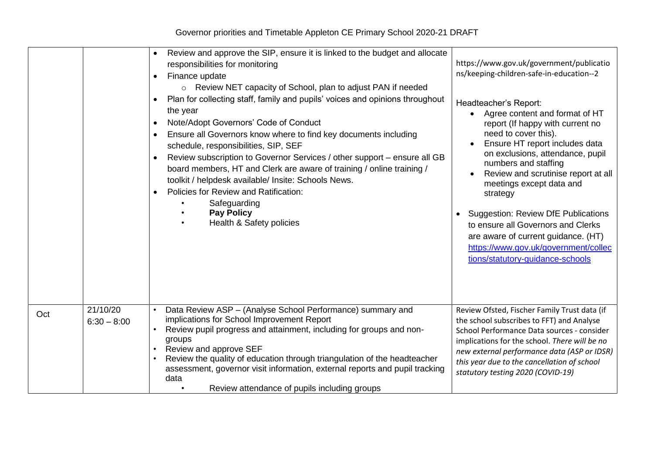|     |                           | Review and approve the SIP, ensure it is linked to the budget and allocate<br>responsibilities for monitoring<br>Finance update<br>○ Review NET capacity of School, plan to adjust PAN if needed<br>Plan for collecting staff, family and pupils' voices and opinions throughout<br>the year<br>Note/Adopt Governors' Code of Conduct<br>Ensure all Governors know where to find key documents including<br>schedule, responsibilities, SIP, SEF<br>Review subscription to Governor Services / other support - ensure all GB<br>board members, HT and Clerk are aware of training / online training /<br>toolkit / helpdesk available/ Insite: Schools News.<br>Policies for Review and Ratification:<br>Safeguarding<br><b>Pay Policy</b><br>Health & Safety policies | https://www.gov.uk/government/publicatio<br>ns/keeping-children-safe-in-education--2<br>Headteacher's Report:<br>• Agree content and format of HT<br>report (If happy with current no<br>need to cover this).<br>Ensure HT report includes data<br>on exclusions, attendance, pupil<br>numbers and staffing<br>Review and scrutinise report at all<br>meetings except data and<br>strategy<br><b>Suggestion: Review DfE Publications</b><br>to ensure all Governors and Clerks<br>are aware of current guidance. (HT)<br>https://www.gov.uk/government/collec<br>tions/statutory-guidance-schools |
|-----|---------------------------|------------------------------------------------------------------------------------------------------------------------------------------------------------------------------------------------------------------------------------------------------------------------------------------------------------------------------------------------------------------------------------------------------------------------------------------------------------------------------------------------------------------------------------------------------------------------------------------------------------------------------------------------------------------------------------------------------------------------------------------------------------------------|---------------------------------------------------------------------------------------------------------------------------------------------------------------------------------------------------------------------------------------------------------------------------------------------------------------------------------------------------------------------------------------------------------------------------------------------------------------------------------------------------------------------------------------------------------------------------------------------------|
| Oct | 21/10/20<br>$6:30 - 8:00$ | Data Review ASP - (Analyse School Performance) summary and<br>implications for School Improvement Report<br>Review pupil progress and attainment, including for groups and non-<br>groups<br>Review and approve SEF<br>Review the quality of education through triangulation of the headteacher<br>assessment, governor visit information, external reports and pupil tracking<br>data<br>Review attendance of pupils including groups                                                                                                                                                                                                                                                                                                                                 | Review Ofsted, Fischer Family Trust data (if<br>the school subscribes to FFT) and Analyse<br>School Performance Data sources - consider<br>implications for the school. There will be no<br>new external performance data (ASP or IDSR)<br>this year due to the cancellation of school<br>statutory testing 2020 (COVID-19)                                                                                                                                                                                                                                                                       |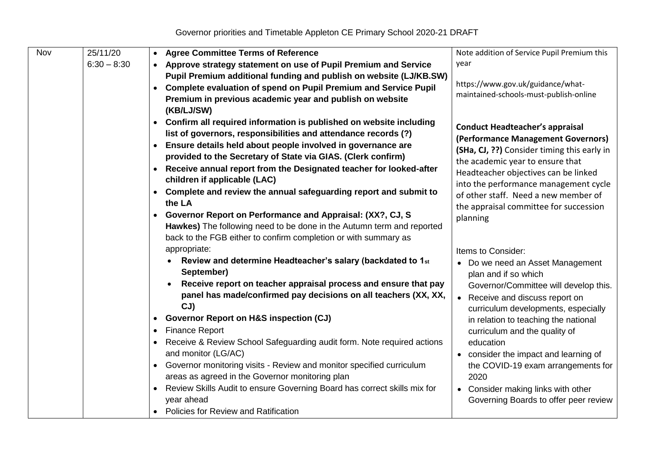| Nov | 25/11/20      | <b>Agree Committee Terms of Reference</b><br>$\bullet$                            | Note addition of Service Pupil Premium this                                   |
|-----|---------------|-----------------------------------------------------------------------------------|-------------------------------------------------------------------------------|
|     | $6:30 - 8:30$ | Approve strategy statement on use of Pupil Premium and Service                    | year                                                                          |
|     |               | Pupil Premium additional funding and publish on website (LJ/KB.SW)                |                                                                               |
|     |               | Complete evaluation of spend on Pupil Premium and Service Pupil                   | https://www.gov.uk/guidance/what-                                             |
|     |               | Premium in previous academic year and publish on website                          | maintained-schools-must-publish-online                                        |
|     |               | (KB/LJ/SW)                                                                        |                                                                               |
|     |               | Confirm all required information is published on website including<br>$\bullet$   |                                                                               |
|     |               | list of governors, responsibilities and attendance records (?)                    | <b>Conduct Headteacher's appraisal</b>                                        |
|     |               | Ensure details held about people involved in governance are<br>$\bullet$          | (Performance Management Governors)                                            |
|     |               | provided to the Secretary of State via GIAS. (Clerk confirm)                      | (SHa, CJ, ??) Consider timing this early in                                   |
|     |               | Receive annual report from the Designated teacher for looked-after                | the academic year to ensure that                                              |
|     |               | children if applicable (LAC)                                                      | Headteacher objectives can be linked<br>into the performance management cycle |
|     |               | Complete and review the annual safeguarding report and submit to<br>$\bullet$     | of other staff. Need a new member of                                          |
|     |               | the LA                                                                            | the appraisal committee for succession                                        |
|     |               | Governor Report on Performance and Appraisal: (XX?, CJ, S<br>$\bullet$            | planning                                                                      |
|     |               | Hawkes) The following need to be done in the Autumn term and reported             |                                                                               |
|     |               | back to the FGB either to confirm completion or with summary as                   |                                                                               |
|     |               | appropriate:                                                                      | Items to Consider:                                                            |
|     |               | Review and determine Headteacher's salary (backdated to 1st<br>$\bullet$          | • Do we need an Asset Management                                              |
|     |               | September)                                                                        | plan and if so which                                                          |
|     |               | Receive report on teacher appraisal process and ensure that pay                   | Governor/Committee will develop this.                                         |
|     |               | panel has made/confirmed pay decisions on all teachers (XX, XX,                   | Receive and discuss report on<br>$\bullet$                                    |
|     |               | CJ                                                                                | curriculum developments, especially                                           |
|     |               | <b>Governor Report on H&amp;S inspection (CJ)</b>                                 | in relation to teaching the national                                          |
|     |               | <b>Finance Report</b><br>$\bullet$                                                | curriculum and the quality of                                                 |
|     |               | Receive & Review School Safeguarding audit form. Note required actions            | education                                                                     |
|     |               | and monitor (LG/AC)                                                               | • consider the impact and learning of                                         |
|     |               | Governor monitoring visits - Review and monitor specified curriculum<br>$\bullet$ | the COVID-19 exam arrangements for                                            |
|     |               | areas as agreed in the Governor monitoring plan                                   | 2020                                                                          |
|     |               | Review Skills Audit to ensure Governing Board has correct skills mix for          | • Consider making links with other                                            |
|     |               | year ahead                                                                        | Governing Boards to offer peer review                                         |
|     |               | <b>Policies for Review and Ratification</b>                                       |                                                                               |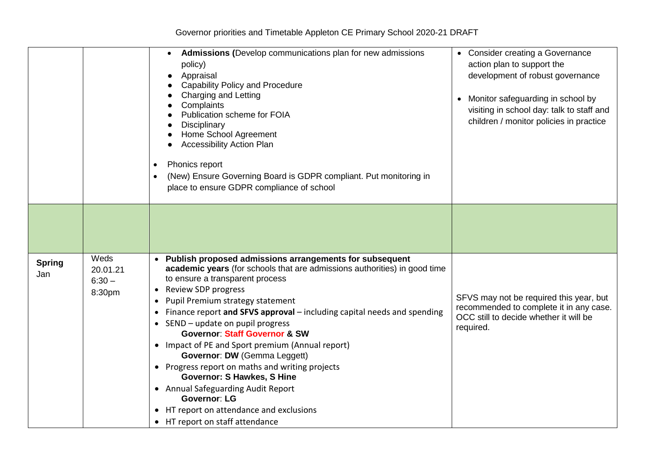|                      |                                        | Admissions (Develop communications plan for new admissions<br>policy)<br>Appraisal<br><b>Capability Policy and Procedure</b><br>Charging and Letting<br>Complaints<br>Publication scheme for FOIA<br>Disciplinary<br>Home School Agreement<br><b>Accessibility Action Plan</b><br>Phonics report<br>(New) Ensure Governing Board is GDPR compliant. Put monitoring in<br>place to ensure GDPR compliance of school                                                                                                                                                                                                                                                                                                                       | • Consider creating a Governance<br>action plan to support the<br>development of robust governance<br>Monitor safeguarding in school by<br>visiting in school day: talk to staff and<br>children / monitor policies in practice |
|----------------------|----------------------------------------|------------------------------------------------------------------------------------------------------------------------------------------------------------------------------------------------------------------------------------------------------------------------------------------------------------------------------------------------------------------------------------------------------------------------------------------------------------------------------------------------------------------------------------------------------------------------------------------------------------------------------------------------------------------------------------------------------------------------------------------|---------------------------------------------------------------------------------------------------------------------------------------------------------------------------------------------------------------------------------|
|                      |                                        |                                                                                                                                                                                                                                                                                                                                                                                                                                                                                                                                                                                                                                                                                                                                          |                                                                                                                                                                                                                                 |
| <b>Spring</b><br>Jan | Weds<br>20.01.21<br>$6:30 -$<br>8:30pm | Publish proposed admissions arrangements for subsequent<br>academic years (for schools that are admissions authorities) in good time<br>to ensure a transparent process<br><b>Review SDP progress</b><br>$\bullet$<br>Pupil Premium strategy statement<br>Finance report and SFVS approval - including capital needs and spending<br>SEND - update on pupil progress<br><b>Governor: Staff Governor &amp; SW</b><br>• Impact of PE and Sport premium (Annual report)<br>Governor: DW (Gemma Leggett)<br>• Progress report on maths and writing projects<br><b>Governor: S Hawkes, S Hine</b><br>• Annual Safeguarding Audit Report<br><b>Governor: LG</b><br>• HT report on attendance and exclusions<br>• HT report on staff attendance | SFVS may not be required this year, but<br>recommended to complete it in any case.<br>OCC still to decide whether it will be<br>required.                                                                                       |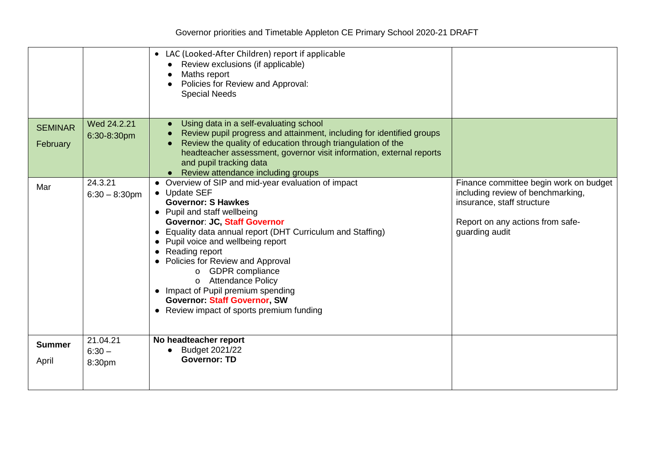|                                   |                                                           | • LAC (Looked-After Children) report if applicable<br>Review exclusions (if applicable)<br>Maths report<br>Policies for Review and Approval:<br><b>Special Needs</b>                                                                                                                                                                                                                                                                                                                                                                                                                                                                                                                                                                                                                                                                |                                                                                                                                                                 |
|-----------------------------------|-----------------------------------------------------------|-------------------------------------------------------------------------------------------------------------------------------------------------------------------------------------------------------------------------------------------------------------------------------------------------------------------------------------------------------------------------------------------------------------------------------------------------------------------------------------------------------------------------------------------------------------------------------------------------------------------------------------------------------------------------------------------------------------------------------------------------------------------------------------------------------------------------------------|-----------------------------------------------------------------------------------------------------------------------------------------------------------------|
| <b>SEMINAR</b><br>February<br>Mar | Wed 24.2.21<br>6:30-8:30pm<br>24.3.21<br>$6:30 - 8:30$ pm | Using data in a self-evaluating school<br>Review pupil progress and attainment, including for identified groups<br>Review the quality of education through triangulation of the<br>headteacher assessment, governor visit information, external reports<br>and pupil tracking data<br>Review attendance including groups<br>• Overview of SIP and mid-year evaluation of impact<br>• Update SEF<br><b>Governor: S Hawkes</b><br>• Pupil and staff wellbeing<br><b>Governor: JC, Staff Governor</b><br>• Equality data annual report (DHT Curriculum and Staffing)<br>• Pupil voice and wellbeing report<br>Reading report<br>Policies for Review and Approval<br>o GDPR compliance<br>o Attendance Policy<br>• Impact of Pupil premium spending<br><b>Governor: Staff Governor, SW</b><br>• Review impact of sports premium funding | Finance committee begin work on budget<br>including review of benchmarking,<br>insurance, staff structure<br>Report on any actions from safe-<br>guarding audit |
| <b>Summer</b><br>April            | 21.04.21<br>$6:30 -$<br>8:30pm                            | No headteacher report<br>Budget 2021/22<br><b>Governor: TD</b>                                                                                                                                                                                                                                                                                                                                                                                                                                                                                                                                                                                                                                                                                                                                                                      |                                                                                                                                                                 |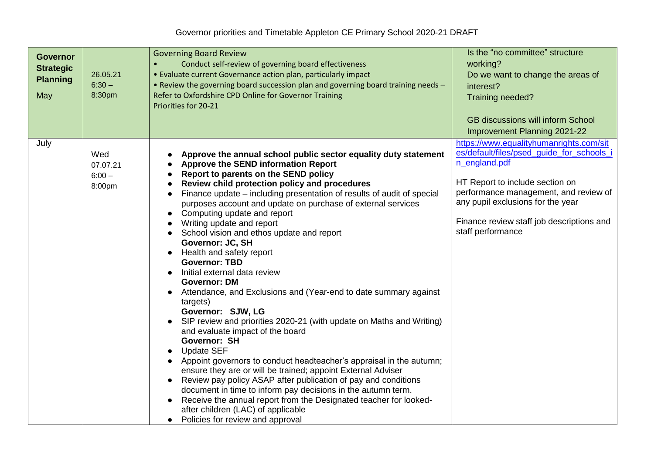| <b>Governor</b><br><b>Strategic</b><br><b>Planning</b><br>May | 26.05.21<br>$6:30 -$<br>8:30pm        | <b>Governing Board Review</b><br>Conduct self-review of governing board effectiveness<br>• Evaluate current Governance action plan, particularly impact<br>. Review the governing board succession plan and governing board training needs -<br>Refer to Oxfordshire CPD Online for Governor Training<br>Priorities for 20-21                                                                                                                                                                                                                                                                                                                                                                                                                                                                                                                                                                                                                                                                                                                                                                                                                                                                                                                                                       | Is the "no committee" structure<br>working?<br>Do we want to change the areas of<br>interest?<br>Training needed?<br><b>GB discussions will inform School</b><br><b>Improvement Planning 2021-22</b>                                                                                     |
|---------------------------------------------------------------|---------------------------------------|-------------------------------------------------------------------------------------------------------------------------------------------------------------------------------------------------------------------------------------------------------------------------------------------------------------------------------------------------------------------------------------------------------------------------------------------------------------------------------------------------------------------------------------------------------------------------------------------------------------------------------------------------------------------------------------------------------------------------------------------------------------------------------------------------------------------------------------------------------------------------------------------------------------------------------------------------------------------------------------------------------------------------------------------------------------------------------------------------------------------------------------------------------------------------------------------------------------------------------------------------------------------------------------|------------------------------------------------------------------------------------------------------------------------------------------------------------------------------------------------------------------------------------------------------------------------------------------|
| July                                                          | Wed<br>07.07.21<br>$6:00 -$<br>8:00pm | Approve the annual school public sector equality duty statement<br><b>Approve the SEND information Report</b><br>Report to parents on the SEND policy<br>Review child protection policy and procedures<br>Finance update – including presentation of results of audit of special<br>purposes account and update on purchase of external services<br>Computing update and report<br>Writing update and report<br>School vision and ethos update and report<br>Governor: JC, SH<br>Health and safety report<br><b>Governor: TBD</b><br>Initial external data review<br><b>Governor: DM</b><br>Attendance, and Exclusions and (Year-end to date summary against<br>targets)<br>Governor: SJW, LG<br>SIP review and priorities 2020-21 (with update on Maths and Writing)<br>and evaluate impact of the board<br>Governor: SH<br><b>Update SEF</b><br>Appoint governors to conduct headteacher's appraisal in the autumn;<br>ensure they are or will be trained; appoint External Adviser<br>Review pay policy ASAP after publication of pay and conditions<br>$\bullet$<br>document in time to inform pay decisions in the autumn term.<br>Receive the annual report from the Designated teacher for looked-<br>after children (LAC) of applicable<br>Policies for review and approval | https://www.equalityhumanrights.com/sit<br>es/default/files/psed quide for schools i<br>n england.pdf<br>HT Report to include section on<br>performance management, and review of<br>any pupil exclusions for the year<br>Finance review staff job descriptions and<br>staff performance |